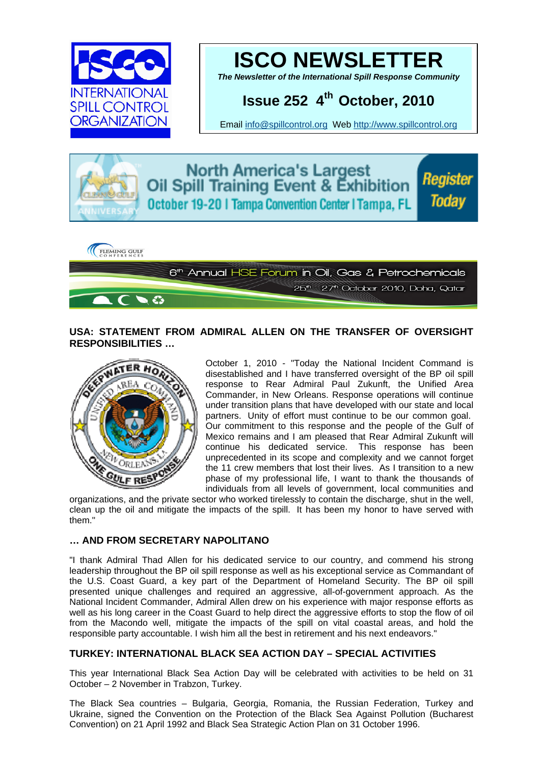



*The Newsletter of the International Spill Response Community* 

# **Issue 252 4th October, 2010**

Email [info@spillcontrol.org](mailto:info@spillcontrol.org) Web [http://www.spillcontrol.org](http://www.spillcontrol.org/) 



**North America's Largest** Oil Spill Training Event & Exhibition October 19-20 | Tampa Convention Center | Tampa, FL

Register Todav



### **USA: STATEMENT FROM ADMIRAL ALLEN ON THE TRANSFER OF OVERSIGHT RESPONSIBILITIES …**



October 1, 2010 - "Today the National Incident Command is disestablished and I have transferred oversight of the BP oil spill response to Rear Admiral Paul Zukunft, the Unified Area Commander, in New Orleans. Response operations will continue under transition plans that have developed with our state and local partners. Unity of effort must continue to be our common goal. Our commitment to this response and the people of the Gulf of Mexico remains and I am pleased that Rear Admiral Zukunft will continue his dedicated service. This response has been unprecedented in its scope and complexity and we cannot forget the 11 crew members that lost their lives. As I transition to a new phase of my professional life, I want to thank the thousands of individuals from all levels of government, local communities and

organizations, and the private sector who worked tirelessly to contain the discharge, shut in the well, clean up the oil and mitigate the impacts of the spill. It has been my honor to have served with them."

### **… AND FROM SECRETARY NAPOLITANO**

"I thank Admiral Thad Allen for his dedicated service to our country, and commend his strong leadership throughout the BP oil spill response as well as his exceptional service as Commandant of the U.S. Coast Guard, a key part of the Department of Homeland Security. The BP oil spill presented unique challenges and required an aggressive, all-of-government approach. As the National Incident Commander, Admiral Allen drew on his experience with major response efforts as well as his long career in the Coast Guard to help direct the aggressive efforts to stop the flow of oil from the Macondo well, mitigate the impacts of the spill on vital coastal areas, and hold the responsible party accountable. I wish him all the best in retirement and his next endeavors."

### **TURKEY: INTERNATIONAL BLACK SEA ACTION DAY – SPECIAL ACTIVITIES**

This year International Black Sea Action Day will be celebrated with activities to be held on 31 October – 2 November in Trabzon, Turkey.

The Black Sea countries – Bulgaria, Georgia, Romania, the Russian Federation, Turkey and Ukraine, signed the Convention on the Protection of the Black Sea Against Pollution (Bucharest Convention) on 21 April 1992 and Black Sea Strategic Action Plan on 31 October 1996.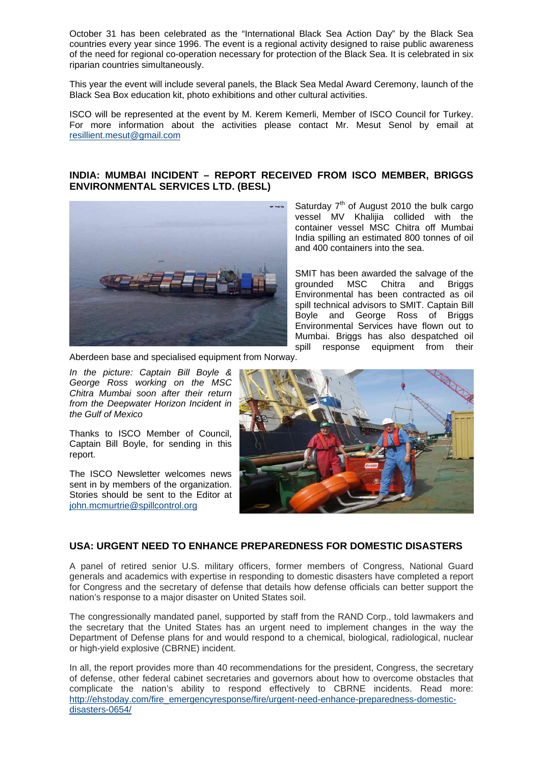October 31 has been celebrated as the "International Black Sea Action Day" by the Black Sea countries every year since 1996. The event is a regional activity designed to raise public awareness of the need for regional co-operation necessary for protection of the Black Sea. It is celebrated in six riparian countries simultaneously.

This year the event will include several panels, the Black Sea Medal Award Ceremony, launch of the Black Sea Box education kit, photo exhibitions and other cultural activities.

ISCO will be represented at the event by M. Kerem Kemerli, Member of ISCO Council for Turkey. For more information about the activities please contact Mr. Mesut Senol by email at [resillient.mesut@gmail.com](mailto:resillient.mesut@gmail.com) 

### **INDIA: MUMBAI INCIDENT – REPORT RECEIVED FROM ISCO MEMBER, BRIGGS ENVIRONMENTAL SERVICES LTD. (BESL)**



Saturday  $7<sup>th</sup>$  of August 2010 the bulk cargo vessel MV Khalijia collided with the container vessel MSC Chitra off Mumbai India spilling an estimated 800 tonnes of oil and 400 containers into the sea.

SMIT has been awarded the salvage of the grounded MSC Chitra and Briggs Environmental has been contracted as oil spill technical advisors to SMIT. Captain Bill Boyle and George Ross of Briggs Environmental Services have flown out to Mumbai. Briggs has also despatched oil spill response equipment from their

Aberdeen base and specialised equipment from Norway.

*Mexico the Gulf of In the picture: Captain Bill Boyle & George Ross working on the MSC Chitra Mumbai soon after their return from the Deepwater Horizon Incident in* 

Thanks to ISCO Member of Council, Captain Bill Boyle, for sending in this report.

The ISCO Newsletter welcomes news sent in by members of the organization. Stories should be sent to the Editor at [john.mcmurtrie@spillcontrol.org](mailto:john.mcmurtrie@spillcontrol.org)



### **USA: URGENT NEED TO ENHANCE PREPAREDNESS FOR DOMESTIC DISASTERS**

A panel of retired senior U.S. military officers, former members of Congress, National Guard generals and academics with expertise in responding to domestic disasters have completed a report for Congress and the secretary of defense that details how defense officials can better support the nation's response to a major disaster on United States soil.

The congressionally mandated panel, supported by staff from the RAND Corp., told lawmakers and the secretary that the United States has an urgent need to implement changes in the way the Department of Defense plans for and would respond to a chemical, biological, radiological, nuclear or high-yield explosive (CBRNE) incident.

In all, the report provides more than 40 recommendations for the president, Congress, the secretary of defense, other federal cabinet secretaries and governors about how to overcome obstacles that complicate the nation's ability to respond effectively to CBRNE incidents. Read more: [http://ehstoday.com/fire\\_emergencyresponse/fire/urgent-need-enhance-preparedness-domestic](http://ehstoday.com/fire_emergencyresponse/fire/urgent-need-enhance-preparedness-domestic-disasters-0654/)[disasters-0654/](http://ehstoday.com/fire_emergencyresponse/fire/urgent-need-enhance-preparedness-domestic-disasters-0654/)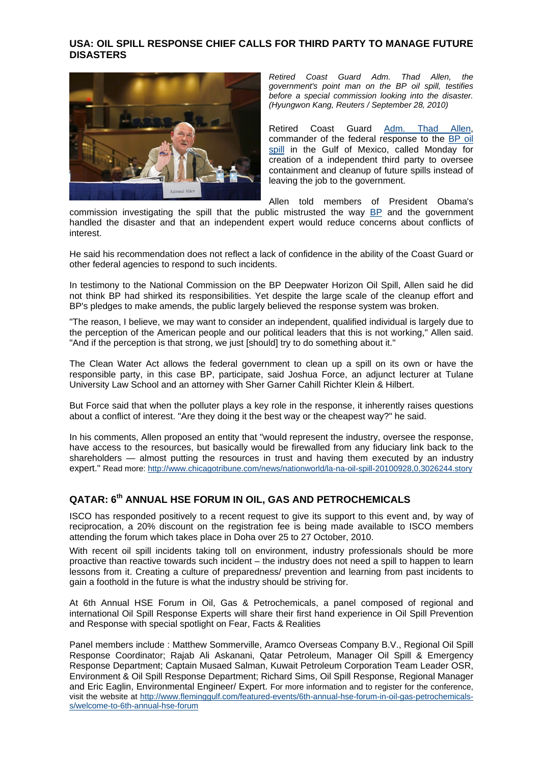### **USA: OIL SPILL RESPONSE CHIEF CALLS FOR THIRD PARTY TO MANAGE FUTURE DISASTERS**



*Retired Coast Guard Adm. Thad Allen, the government's point man on the BP oil spill, testifies before a special commission looking into the disaster. (Hyungwon Kang, Reuters / September 28, 2010)* 

Retired Coast Guard [Adm. Thad Allen,](http://www.chicagotribune.com/topic/unrest-conflicts-war/defense/armed-forces/thad-allen-PEPLT0007600.topic) commander of the federal response to the [BP oil](http://www.chicagotribune.com/topic/environmental-issues/environmental-pollution/water-pollution/gulf-of-mexico-oil-spill-%282010%29-EVHST0000243.topic)  [spill](http://www.chicagotribune.com/topic/environmental-issues/environmental-pollution/water-pollution/gulf-of-mexico-oil-spill-%282010%29-EVHST0000243.topic) in the Gulf of Mexico, called Monday for creation of a independent third party to oversee containment and cleanup of future spills instead of leaving the job to the government.

Allen told members of President Obama's

commission investigating the spill that the public mistrusted the way **[BP](http://www.chicagotribune.com/topic/economy-business-finance/energy-resource-industries/petroleum-industry/bp-plc-ORCRP002197.topic)** and the government handled the disaster and that an independent expert would reduce concerns about conflicts of interest.

He said his recommendation does not reflect a lack of confidence in the ability of the Coast Guard or other federal agencies to respond to such incidents.

In testimony to the National Commission on the BP Deepwater Horizon Oil Spill, Allen said he did not think BP had shirked its responsibilities. Yet despite the large scale of the cleanup effort and BP's pledges to make amends, the public largely believed the response system was broken.

"The reason, I believe, we may want to consider an independent, qualified individual is largely due to the perception of the American people and our political leaders that this is not working," Allen said. "And if the perception is that strong, we just [should] try to do something about it."

The Clean Water Act allows the federal government to clean up a spill on its own or have the responsible party, in this case BP, participate, said Joshua Force, an adjunct lecturer at Tulane University Law School and an attorney with Sher Garner Cahill Richter Klein & Hilbert.

But Force said that when the polluter plays a key role in the response, it inherently raises questions about a conflict of interest. "Are they doing it the best way or the cheapest way?" he said.

In his comments, Allen proposed an entity that "would represent the industry, oversee the response, have access to the resources, but basically would be firewalled from any fiduciary link back to the shareholders — almost putting the resources in trust and having them executed by an industry expert." Read more: <http://www.chicagotribune.com/news/nationworld/la-na-oil-spill-20100928,0,3026244.story>

# **QATAR: 6th ANNUAL HSE FORUM IN OIL, GAS AND PETROCHEMICALS**

ISCO has responded positively to a recent request to give its support to this event and, by way of reciprocation, a 20% discount on the registration fee is being made available to ISCO members attending the forum which takes place in Doha over 25 to 27 October, 2010.

With recent oil spill incidents taking toll on environment, industry professionals should be more proactive than reactive towards such incident – the industry does not need a spill to happen to learn lessons from it. Creating a culture of preparedness/ prevention and learning from past incidents to gain a foothold in the future is what the industry should be striving for.

At 6th Annual HSE Forum in Oil, Gas & Petrochemicals, a panel composed of regional and international Oil Spill Response Experts will share their first hand experience in Oil Spill Prevention and Response with special spotlight on Fear, Facts & Realities

Panel members include : Matthew Sommerville, Aramco Overseas Company B.V., Regional Oil Spill Response Coordinator; Rajab Ali Askanani, Qatar Petroleum, Manager Oil Spill & Emergency Response Department; Captain Musaed Salman, Kuwait Petroleum Corporation Team Leader OSR, Environment & Oil Spill Response Department; Richard Sims, Oil Spill Response, Regional Manager and Eric Eaglin, Environmental Engineer/ Expert. For more information and to register for the conference, visit the website at [http://www.fleminggulf.com/featured-events/6th-annual-hse-forum-in-oil-gas-petrochemicals](http://www.fleminggulf.com/featured-events/6th-annual-hse-forum-in-oil-gas-petrochemicals-s/welcome-to-6th-annual-hse-forum)[s/welcome-to-6th-annual-hse-forum](http://www.fleminggulf.com/featured-events/6th-annual-hse-forum-in-oil-gas-petrochemicals-s/welcome-to-6th-annual-hse-forum)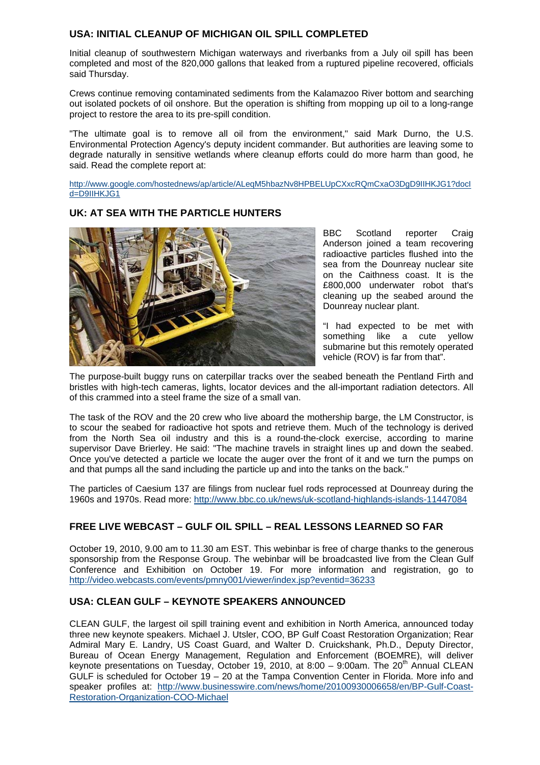### **USA: INITIAL CLEANUP OF MICHIGAN OIL SPILL COMPLETED**

Initial cleanup of southwestern Michigan waterways and riverbanks from a July oil spill has been completed and most of the 820,000 gallons that leaked from a ruptured pipeline recovered, officials said Thursday.

Crews continue removing contaminated sediments from the Kalamazoo River bottom and searching out isolated pockets of oil onshore. But the operation is shifting from mopping up oil to a long-range project to restore the area to its pre-spill condition.

"The ultimate goal is to remove all oil from the environment," said Mark Durno, the U.S. Environmental Protection Agency's deputy incident commander. But authorities are leaving some to degrade naturally in sensitive wetlands where cleanup efforts could do more harm than good, he said. Read the complete report at:

[http://www.google.com/hostednews/ap/article/ALeqM5hbazNv8HPBELUpCXxcRQmCxaO3DgD9IIHKJG1?docI](http://www.google.com/hostednews/ap/article/ALeqM5hbazNv8HPBELUpCXxcRQmCxaO3DgD9IIHKJG1?docId=D9IIHKJG1) [d=D9IIHKJG1](http://www.google.com/hostednews/ap/article/ALeqM5hbazNv8HPBELUpCXxcRQmCxaO3DgD9IIHKJG1?docId=D9IIHKJG1)



**UK: AT SEA WITH THE PARTICLE HUNTERS** 

BBC Scotland reporter Craig Anderson joined a team recovering radioactive particles flushed into the sea from the Dounreay nuclear site on the Caithness coast. It is the £800,000 underwater robot that's cleaning up the seabed around the Dounreay nuclear plant.

"I had expected to be met with something like a cute vellow submarine but this remotely operated vehicle (ROV) is far from that".

The purpose-built buggy runs on caterpillar tracks over the seabed beneath the Pentland Firth and bristles with high-tech cameras, lights, locator devices and the all-important radiation detectors. All of this crammed into a steel frame the size of a small van.

The task of the ROV and the 20 crew who live aboard the mothership barge, the LM Constructor, is to scour the seabed for radioactive hot spots and retrieve them. Much of the technology is derived from the North Sea oil industry and this is a round-the-clock exercise, according to marine supervisor Dave Brierley. He said: "The machine travels in straight lines up and down the seabed. Once you've detected a particle we locate the auger over the front of it and we turn the pumps on and that pumps all the sand including the particle up and into the tanks on the back."

The particles of Caesium 137 are filings from nuclear fuel rods reprocessed at Dounreay during the 1960s and 1970s. Read more: <http://www.bbc.co.uk/news/uk-scotland-highlands-islands-11447084>

# **FREE LIVE WEBCAST – GULF OIL SPILL – REAL LESSONS LEARNED SO FAR**

October 19, 2010, 9.00 am to 11.30 am EST. This webinbar is free of charge thanks to the generous sponsorship from the Response Group. The webinbar will be broadcasted live from the Clean Gulf Conference and Exhibition on October 19. For more information and registration, go to <http://video.webcasts.com/events/pmny001/viewer/index.jsp?eventid=36233>

# **USA: CLEAN GULF – KEYNOTE SPEAKERS ANNOUNCED**

CLEAN GULF, the largest oil spill training event and exhibition in North America, announced today three new keynote speakers. Michael J. Utsler, COO, BP Gulf Coast Restoration Organization; Rear Admiral Mary E. Landry, US Coast Guard, and Walter D. Cruickshank, Ph.D., Deputy Director, Bureau of Ocean Energy Management, Regulation and Enforcement (BOEMRE), will deliver keynote presentations on Tuesday, October 19, 2010, at 8:00  $-$  9:00am. The 20<sup>th</sup> Annual CLEAN GULF is scheduled for October  $19 - 20$  at the Tampa Convention Center in Florida. More info and speaker profiles at: [http://www.businesswire.com/news/home/20100930006658/en/BP-Gulf-Coast-](http://www.businesswire.com/news/home/20100930006658/en/BP-Gulf-Coast-Restoration-Organization-COO-Michael)[Restoration-Organization-COO-Michael](http://www.businesswire.com/news/home/20100930006658/en/BP-Gulf-Coast-Restoration-Organization-COO-Michael)